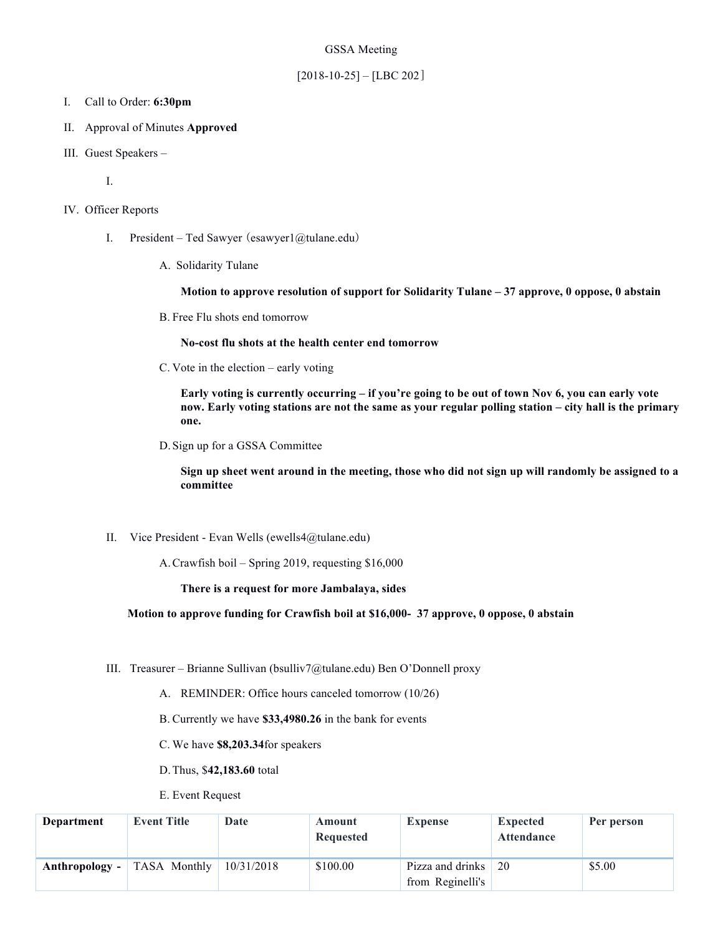### GSSA Meeting

### $[2018-10-25] - [LBC 202]$

- I. Call to Order: **6:30pm**
- II. Approval of Minutes **Approved**
- III. Guest Speakers –

I.

- IV. Officer Reports
	- I. President Ted Sawyer (esawyer1@tulane.edu)
		- A. Solidarity Tulane

**Motion to approve resolution of support for Solidarity Tulane – 37 approve, 0 oppose, 0 abstain**

B. Free Flu shots end tomorrow

**No-cost flu shots at the health center end tomorrow**

C. Vote in the election – early voting

**Early voting is currently occurring – if you're going to be out of town Nov 6, you can early vote now. Early voting stations are not the same as your regular polling station – city hall is the primary one.** 

D.Sign up for a GSSA Committee

**Sign up sheet went around in the meeting, those who did not sign up will randomly be assigned to a committee**

II. Vice President - Evan Wells (ewells4@tulane.edu)

A.Crawfish boil – Spring 2019, requesting \$16,000

**There is a request for more Jambalaya, sides**

**Motion to approve funding for Crawfish boil at \$16,000- 37 approve, 0 oppose, 0 abstain**

- III. Treasurer Brianne Sullivan (bsulliv7@tulane.edu) Ben O'Donnell proxy
	- A. REMINDER: Office hours canceled tomorrow (10/26)
	- B. Currently we have **\$33,4980.26** in the bank for events
	- C. We have **\$8,203.34**for speakers
	- D.Thus, \$**42,183.60** total
	- E. Event Request

| Department       | <b>Event Title</b>  | Date       | Amount<br>Requested | <b>Expense</b>                       | <b>Expected</b><br><b>Attendance</b> | Per person |
|------------------|---------------------|------------|---------------------|--------------------------------------|--------------------------------------|------------|
| Anthropology $-$ | <b>TASA Monthly</b> | 10/31/2018 | \$100.00            | Pizza and drinks<br>from Reginelli's | 20                                   | \$5.00     |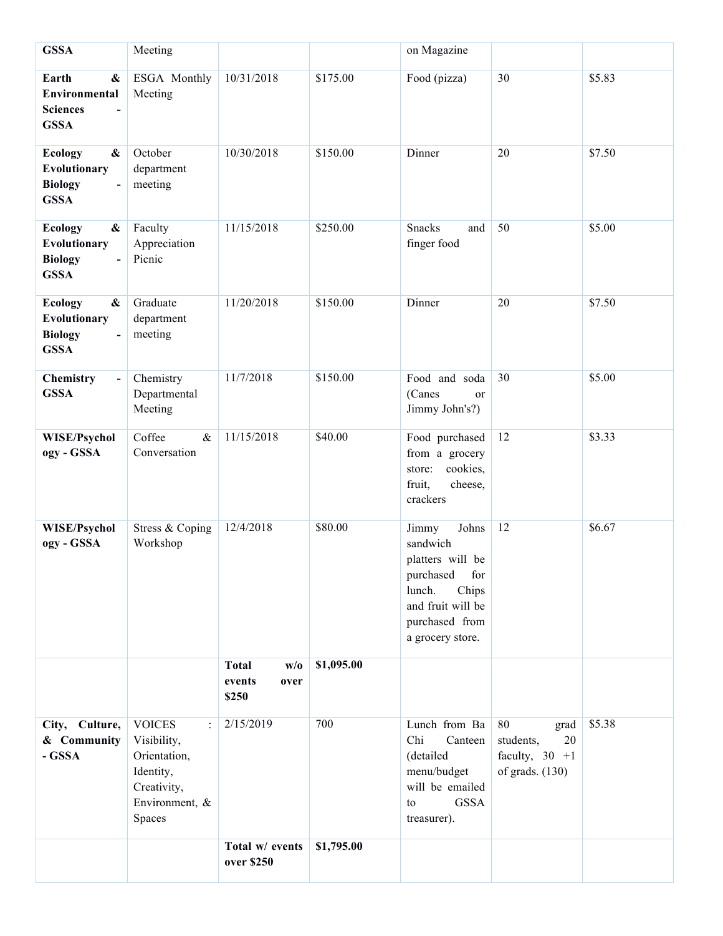| <b>GSSA</b>                                                                                                          | Meeting                                                                                                                      |                                                |            | on Magazine                                                                                                                                      |                                                                         |        |
|----------------------------------------------------------------------------------------------------------------------|------------------------------------------------------------------------------------------------------------------------------|------------------------------------------------|------------|--------------------------------------------------------------------------------------------------------------------------------------------------|-------------------------------------------------------------------------|--------|
| Earth<br>$\boldsymbol{\&}$<br>Environmental<br><b>Sciences</b><br><b>GSSA</b>                                        | ESGA Monthly<br>Meeting                                                                                                      | 10/31/2018                                     | \$175.00   | Food (pizza)                                                                                                                                     | 30                                                                      | \$5.83 |
| $\boldsymbol{\&}$<br><b>Ecology</b><br>Evolutionary<br><b>Biology</b><br><b>GSSA</b>                                 | October<br>department<br>meeting                                                                                             | 10/30/2018                                     | \$150.00   | Dinner                                                                                                                                           | 20                                                                      | \$7.50 |
| <b>Ecology</b><br>&<br>Evolutionary<br><b>Biology</b><br>$\overline{a}$<br><b>GSSA</b>                               | Faculty<br>Appreciation<br>Picnic                                                                                            | 11/15/2018                                     | \$250.00   | Snacks<br>and<br>finger food                                                                                                                     | 50                                                                      | \$5.00 |
| $\boldsymbol{\&}$<br><b>Ecology</b><br>Evolutionary<br><b>Biology</b><br>$\qquad \qquad \blacksquare$<br><b>GSSA</b> | Graduate<br>department<br>meeting                                                                                            | 11/20/2018                                     | \$150.00   | Dinner                                                                                                                                           | 20                                                                      | \$7.50 |
| Chemistry<br>$\blacksquare$<br><b>GSSA</b>                                                                           | Chemistry<br>Departmental<br>Meeting                                                                                         | 11/7/2018                                      | \$150.00   | Food and soda<br>(Canes<br>or<br>Jimmy John's?)                                                                                                  | 30                                                                      | \$5.00 |
| WISE/Psychol<br>ogy - GSSA                                                                                           | Coffee<br>$\&$<br>Conversation                                                                                               | 11/15/2018                                     | \$40.00    | Food purchased<br>from a grocery<br>cookies,<br>store:<br>fruit,<br>cheese,<br>crackers                                                          | 12                                                                      | \$3.33 |
| WISE/Psychol<br>ogy - GSSA                                                                                           | Stress & Coping<br>Workshop                                                                                                  | 12/4/2018                                      | \$80.00    | Johns<br>Jimmy<br>sandwich<br>platters will be<br>purchased<br>for<br>lunch.<br>Chips<br>and fruit will be<br>purchased from<br>a grocery store. | 12                                                                      | \$6.67 |
|                                                                                                                      |                                                                                                                              | <b>Total</b><br>W/0<br>events<br>over<br>\$250 | \$1,095.00 |                                                                                                                                                  |                                                                         |        |
| City, Culture,<br>& Community<br>- GSSA                                                                              | <b>VOICES</b><br>$\ddot{\phantom{a}}$<br>Visibility,<br>Orientation,<br>Identity,<br>Creativity,<br>Environment, &<br>Spaces | 2/15/2019                                      | 700        | Lunch from Ba<br>Chi<br>Canteen<br>(detailed<br>menu/budget<br>will be emailed<br><b>GSSA</b><br>to<br>treasurer).                               | 80<br>grad<br>students,<br>20<br>faculty, $30 + 1$<br>of grads. $(130)$ | \$5.38 |
|                                                                                                                      |                                                                                                                              | Total w/ events<br>over \$250                  | \$1,795.00 |                                                                                                                                                  |                                                                         |        |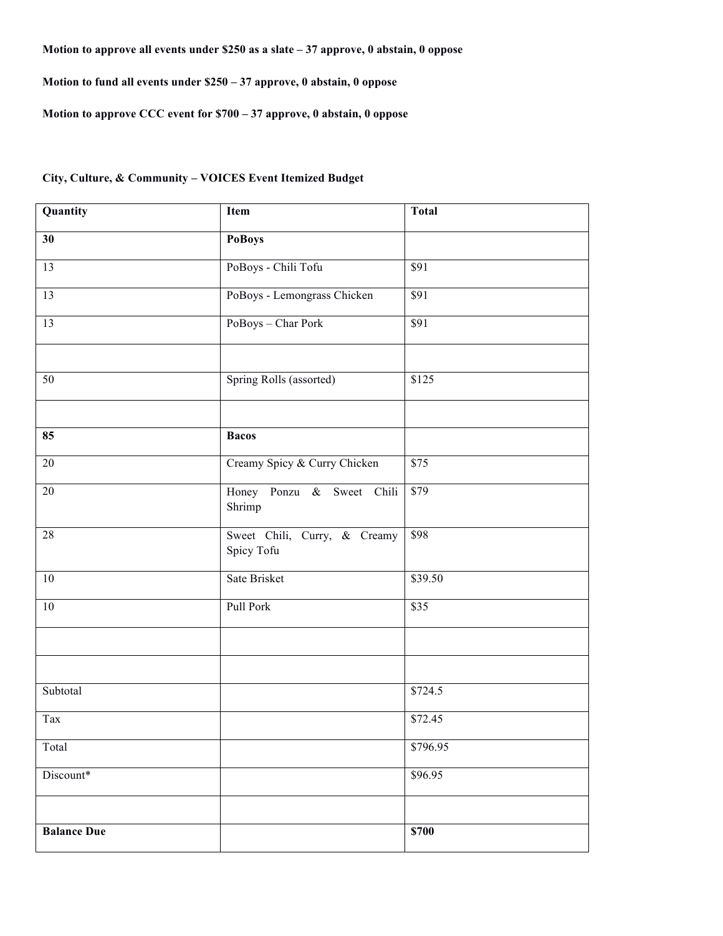## **Motion to approve all events under \$250 as a slate – 37 approve, 0 abstain, 0 oppose**

**Motion to fund all events under \$250 – 37 approve, 0 abstain, 0 oppose**

**Motion to approve CCC event for \$700 – 37 approve, 0 abstain, 0 oppose**

# **City, Culture, & Community – VOICES Event Itemized Budget**

| Quantity           | Item                                       | <b>Total</b>      |  |  |
|--------------------|--------------------------------------------|-------------------|--|--|
| 30                 | <b>PoBoys</b>                              |                   |  |  |
| $\overline{13}$    | PoBoys - Chili Tofu                        | $\overline{\$91}$ |  |  |
| $\overline{13}$    | PoBoys - Lemongrass Chicken                | $\overline{\$91}$ |  |  |
| 13                 | PoBoys - Char Pork                         | $\overline{\$91}$ |  |  |
|                    |                                            |                   |  |  |
| 50                 | Spring Rolls (assorted)                    | \$125             |  |  |
|                    |                                            |                   |  |  |
| 85                 | <b>Bacos</b>                               |                   |  |  |
| $\overline{20}$    | Creamy Spicy & Curry Chicken               | $\overline{$75}$  |  |  |
| 20                 | Honey Ponzu & Sweet Chili<br>Shrimp        | $\overline{$79}$  |  |  |
| 28                 | Sweet Chili, Curry, & Creamy<br>Spicy Tofu | \$98              |  |  |
| $10\,$             | Sate Brisket                               | \$39.50           |  |  |
| $\overline{10}$    | Pull Pork                                  | $\overline{$35}$  |  |  |
|                    |                                            |                   |  |  |
|                    |                                            |                   |  |  |
| Subtotal           |                                            | \$724.5           |  |  |
| Tax                |                                            | \$72.45           |  |  |
| Total              |                                            | \$796.95          |  |  |
| Discount*          |                                            | \$96.95           |  |  |
|                    |                                            |                   |  |  |
| <b>Balance Due</b> |                                            | \$700             |  |  |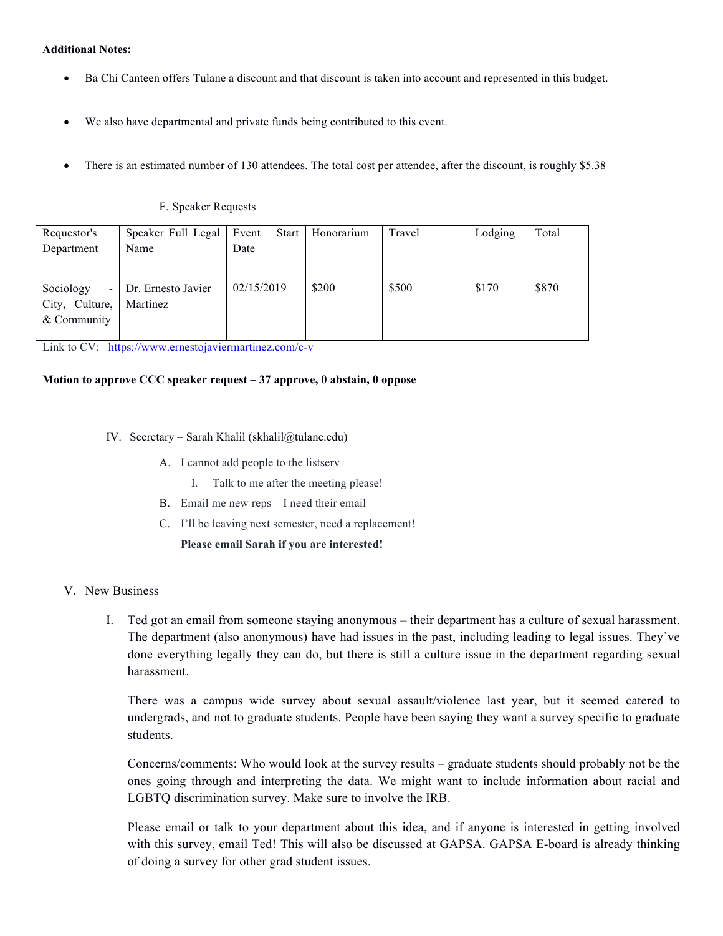### **Additional Notes:**

- Ba Chi Canteen offers Tulane a discount and that discount is taken into account and represented in this budget.
- We also have departmental and private funds being contributed to this event.
- There is an estimated number of 130 attendees. The total cost per attendee, after the discount, is roughly \$5.38

#### F. Speaker Requests

| Requestor's       | Speaker Full Legal | Event      | <b>Start</b> | Honorarium | Travel | Lodging | Total |
|-------------------|--------------------|------------|--------------|------------|--------|---------|-------|
| Department        | Name               | Date       |              |            |        |         |       |
|                   |                    |            |              |            |        |         |       |
|                   |                    |            |              |            |        |         |       |
| Sociology<br>$-1$ | Dr. Ernesto Javier | 02/15/2019 |              | \$200      | \$500  | \$170   | \$870 |
| City, Culture,    | Martínez           |            |              |            |        |         |       |
| & Community       |                    |            |              |            |        |         |       |
|                   |                    |            |              |            |        |         |       |

Link to CV: https://www.ernestojaviermartinez.com/c-v

#### **Motion to approve CCC speaker request – 37 approve, 0 abstain, 0 oppose**

- IV. Secretary Sarah Khalil (skhalil@tulane.edu)
	- A. I cannot add people to the listserv
		- I. Talk to me after the meeting please!
	- B. Email me new reps I need their email
	- C. I'll be leaving next semester, need a replacement!
		- **Please email Sarah if you are interested!**

### V. New Business

I. Ted got an email from someone staying anonymous – their department has a culture of sexual harassment. The department (also anonymous) have had issues in the past, including leading to legal issues. They've done everything legally they can do, but there is still a culture issue in the department regarding sexual harassment.

There was a campus wide survey about sexual assault/violence last year, but it seemed catered to undergrads, and not to graduate students. People have been saying they want a survey specific to graduate students.

Concerns/comments: Who would look at the survey results – graduate students should probably not be the ones going through and interpreting the data. We might want to include information about racial and LGBTQ discrimination survey. Make sure to involve the IRB.

Please email or talk to your department about this idea, and if anyone is interested in getting involved with this survey, email Ted! This will also be discussed at GAPSA. GAPSA E-board is already thinking of doing a survey for other grad student issues.